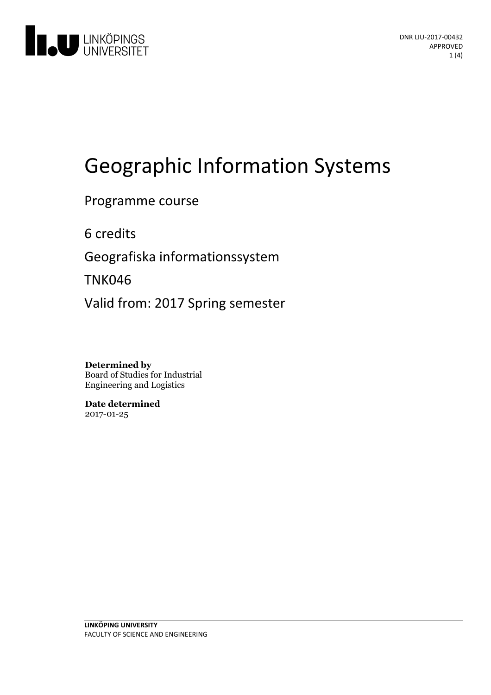

# Geographic Information Systems

Programme course

6 credits

Geografiska informationssystem

TNK046

Valid from: 2017 Spring semester

**Determined by** Board of Studies for Industrial Engineering and Logistics

**Date determined** 2017-01-25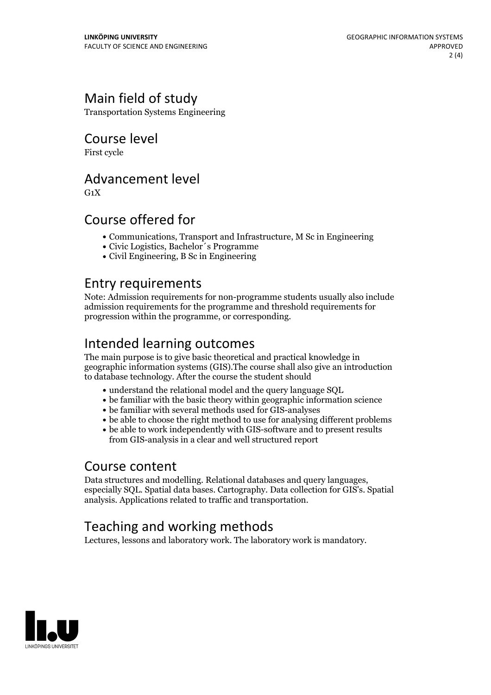## Main field of study

Transportation Systems Engineering

Course level

First cycle

## Advancement level

 $G_1X$ 

## Course offered for

- Communications, Transport and Infrastructure, M Sc in Engineering
- Civic Logistics, Bachelor´s Programme
- Civil Engineering, B Sc in Engineering

## Entry requirements

Note: Admission requirements for non-programme students usually also include admission requirements for the programme and threshold requirements for progression within the programme, or corresponding.

## Intended learning outcomes

The main purpose is to give basic theoretical and practical knowledge in geographic information systems (GIS).The course shall also give an introduction to database technology. After the course the student should

- understand the relational model and the query language SQL
- be familiar with the basic theory within geographic information science
- be familiar with several methods used for GIS-analyses
- be able to choose the right method to use for analysing different problems
- be able to work independently with GIS-software and to present results from GIS-analysis in a clear and well structured report

Course content<br>Data structures and modelling. Relational databases and query languages. especially SQL. Spatial data bases. Cartography. Data collection for GIS's. Spatial analysis. Applications related to traffic and transportation.

## Teaching and working methods

Lectures, lessons and laboratory work. The laboratory work is mandatory.

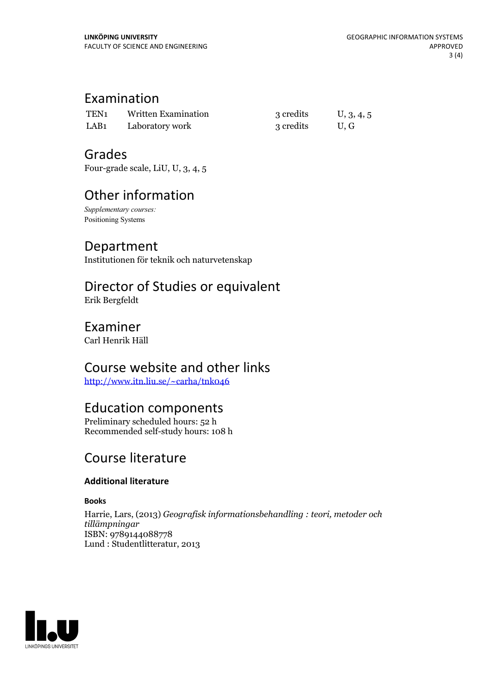## Examination

| TEN <sub>1</sub> | Written Examination | 3 credits | U, 3, 4, 5 |
|------------------|---------------------|-----------|------------|
| LAB <sub>1</sub> | Laboratory work     | 3 credits | U.G        |

## Grades

Four-grade scale, LiU, U, 3, 4, 5

## Other information

*Supplementary courses:* Positioning Systems

#### Department

Institutionen för teknik och naturvetenskap

## Director of Studies or equivalent

Erik Bergfeldt

#### Examiner

Carl Henrik Häll

## Course website and other links

<http://www.itn.liu.se/~carha/tnk046>

#### Education components

Preliminary scheduled hours: 52 h Recommended self-study hours: 108 h

## Course literature

#### **Additional literature**

**Books**

Harrie, Lars, (2013) *Geografisk informationsbehandling : teori, metoder och tillämpningar* ISBN: 9789144088778 Lund : Studentlitteratur, 2013